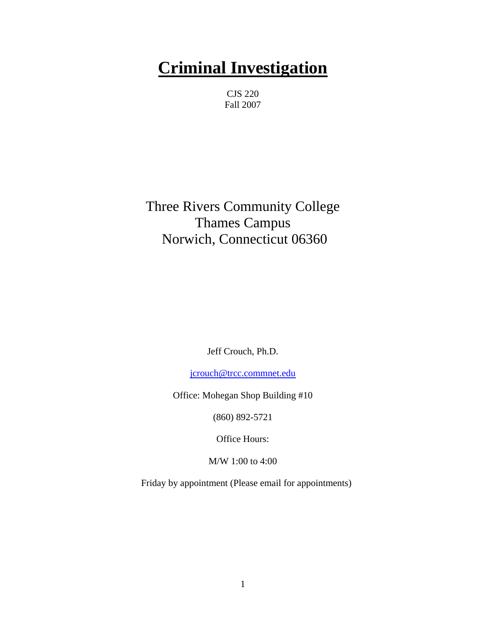# **Criminal Investigation**

CJS 220 Fall 2007

Three Rivers Community College Thames Campus Norwich, Connecticut 06360

Jeff Crouch, Ph.D.

[jcrouch@trcc.commnet.edu](mailto:jcrouch@trcc.commnet.edu)

Office: Mohegan Shop Building #10

(860) 892-5721

Office Hours:

M/W 1:00 to 4:00

Friday by appointment (Please email for appointments)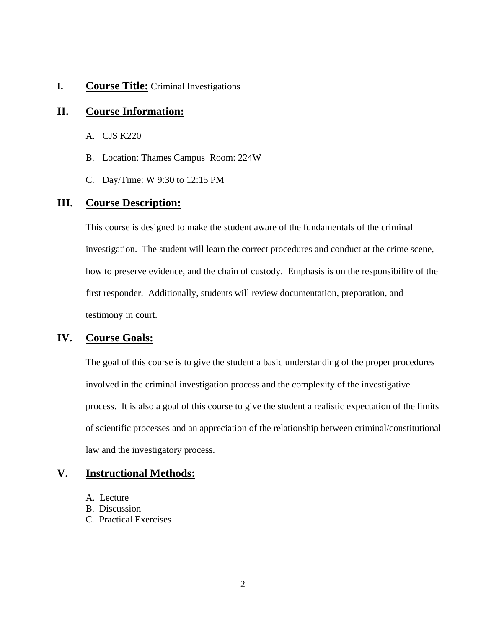#### **I. Course Title:** Criminal Investigations

## **II. Course Information:**

- A. CJS K220
- B. Location: Thames Campus Room: 224W
- C. Day/Time: W 9:30 to 12:15 PM

## **III. Course Description:**

This course is designed to make the student aware of the fundamentals of the criminal investigation. The student will learn the correct procedures and conduct at the crime scene, how to preserve evidence, and the chain of custody. Emphasis is on the responsibility of the first responder. Additionally, students will review documentation, preparation, and testimony in court.

## **IV. Course Goals:**

The goal of this course is to give the student a basic understanding of the proper procedures involved in the criminal investigation process and the complexity of the investigative process. It is also a goal of this course to give the student a realistic expectation of the limits of scientific processes and an appreciation of the relationship between criminal/constitutional law and the investigatory process.

## **V. Instructional Methods:**

- A. Lecture
- B. Discussion
- C. Practical Exercises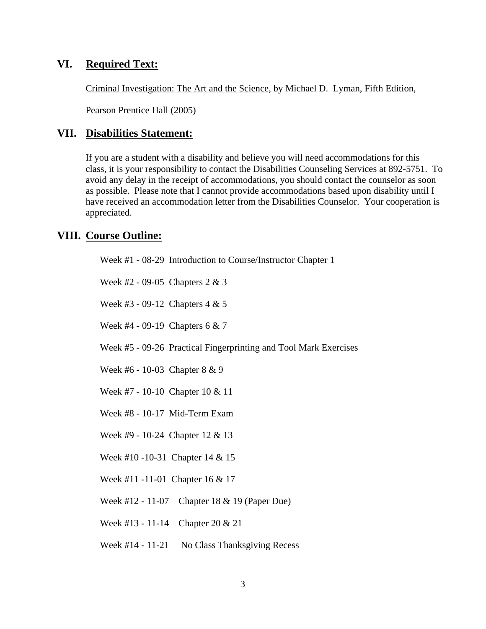# **VI. Required Text:**

Criminal Investigation: The Art and the Science, by Michael D. Lyman, Fifth Edition,

Pearson Prentice Hall (2005)

## **VII. Disabilities Statement:**

If you are a student with a disability and believe you will need accommodations for this class, it is your responsibility to contact the Disabilities Counseling Services at 892-5751. To avoid any delay in the receipt of accommodations, you should contact the counselor as soon as possible. Please note that I cannot provide accommodations based upon disability until I have received an accommodation letter from the Disabilities Counselor. Your cooperation is appreciated.

## **VIII. Course Outline:**

| Week #1 - 08-29 Introduction to Course/Instructor Chapter 1      |
|------------------------------------------------------------------|
| Week #2 - 09-05 Chapters $2 & 3$                                 |
| Week #3 - 09-12 Chapters $4 & 5$                                 |
| Week #4 - 09-19 Chapters $6 & 7$                                 |
| Week #5 - 09-26 Practical Fingerprinting and Tool Mark Exercises |
| Week #6 - 10-03 Chapter 8 & 9                                    |
| Week #7 - 10-10 Chapter 10 & 11                                  |
| Week #8 - 10-17 Mid-Term Exam                                    |
| Week #9 - 10-24 Chapter 12 & 13                                  |
| Week #10 -10-31 Chapter $14 \& 15$                               |
| Week #11 -11-01 Chapter 16 & 17                                  |
| Week #12 - 11-07 Chapter 18 & 19 (Paper Due)                     |
| Week #13 - 11-14 Chapter 20 $& 21$                               |
| Week #14 - 11-21 No Class Thanksgiving Recess                    |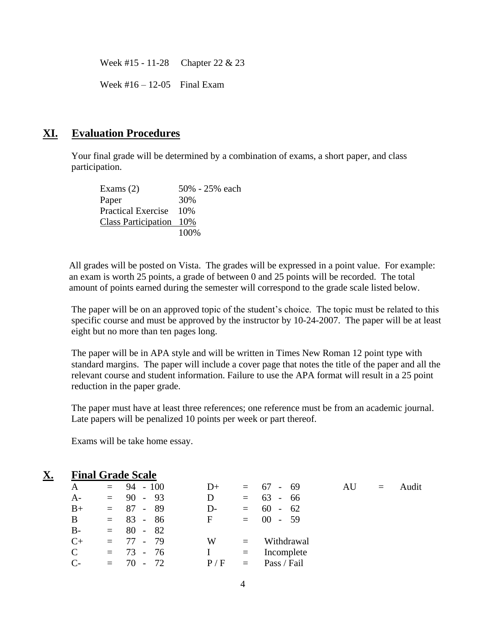Week #15 - 11-28 Chapter 22 & 23

Week  $\#16 - 12 - 05$  Final Exam

#### **XI. Evaluation Procedures**

Your final grade will be determined by a combination of exams, a short paper, and class participation.

Exams (2) 50% - 25% each Paper 30% Practical Exercise 10% Class Participation 10% 100%

All grades will be posted on Vista. The grades will be expressed in a point value. For example: an exam is worth 25 points, a grade of between 0 and 25 points will be recorded. The total amount of points earned during the semester will correspond to the grade scale listed below.

The paper will be on an approved topic of the student's choice. The topic must be related to this specific course and must be approved by the instructor by 10-24-2007. The paper will be at least eight but no more than ten pages long.

The paper will be in APA style and will be written in Times New Roman 12 point type with standard margins. The paper will include a cover page that notes the title of the paper and all the relevant course and student information. Failure to use the APA format will result in a 25 point reduction in the paper grade.

The paper must have at least three references; one reference must be from an academic journal. Late papers will be penalized 10 points per week or part thereof.

Exams will be take home essay.

| <u>X.</u> |              |     | <b>Final Grade Scale</b> |             |          |             |    |     |       |
|-----------|--------------|-----|--------------------------|-------------|----------|-------------|----|-----|-------|
|           | A            |     | $= 94 - 100$             | $D+$        |          | $= 67 - 69$ | AU | $=$ | Audit |
|           | $A-$         |     | $= 90 - 93$              | D           | $=$ $-$  | $63 - 66$   |    |     |       |
|           | $B+$         |     | $= 87 - 89$              | D-          | $=$ $-$  | 60 -<br>62  |    |     |       |
|           | B            |     | $= 83 - 86$              | $\mathbf F$ |          | $= 00 - 59$ |    |     |       |
|           | $B-$         |     | $= 80 - 82$              |             |          |             |    |     |       |
|           | $C+$         |     | $= 77 - 79$              | W           | $\equiv$ | Withdrawal  |    |     |       |
|           | $\mathsf{C}$ |     | $= 73 - 76$              | I           | $=$      | Incomplete  |    |     |       |
|           | $\mathsf{C}$ | $=$ | 72<br>70.                | P/F         | $=$      | Pass / Fail |    |     |       |